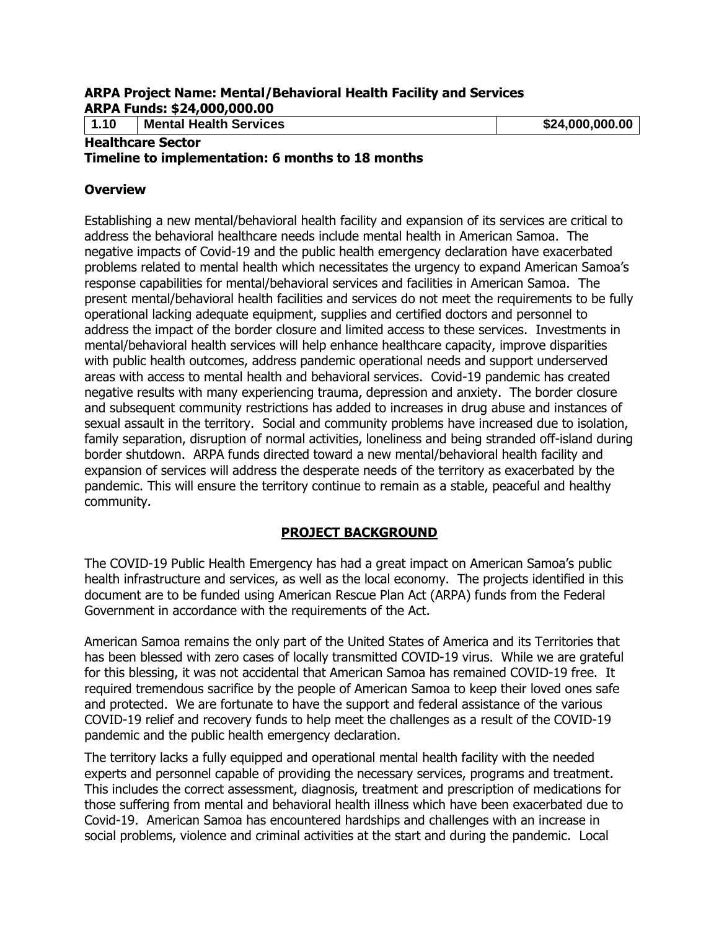#### **ARPA Project Name: Mental/Behavioral Health Facility and Services ARPA Funds: \$24,000,000.00**

**1.10 Mental Health Services \$24,000,000.00**

#### **Healthcare Sector**

#### **Timeline to implementation: 6 months to 18 months**

#### **Overview**

Establishing a new mental/behavioral health facility and expansion of its services are critical to address the behavioral healthcare needs include mental health in American Samoa. The negative impacts of Covid-19 and the public health emergency declaration have exacerbated problems related to mental health which necessitates the urgency to expand American Samoa's response capabilities for mental/behavioral services and facilities in American Samoa. The present mental/behavioral health facilities and services do not meet the requirements to be fully operational lacking adequate equipment, supplies and certified doctors and personnel to address the impact of the border closure and limited access to these services. Investments in mental/behavioral health services will help enhance healthcare capacity, improve disparities with public health outcomes, address pandemic operational needs and support underserved areas with access to mental health and behavioral services. Covid-19 pandemic has created negative results with many experiencing trauma, depression and anxiety. The border closure and subsequent community restrictions has added to increases in drug abuse and instances of sexual assault in the territory. Social and community problems have increased due to isolation, family separation, disruption of normal activities, loneliness and being stranded off-island during border shutdown. ARPA funds directed toward a new mental/behavioral health facility and expansion of services will address the desperate needs of the territory as exacerbated by the pandemic. This will ensure the territory continue to remain as a stable, peaceful and healthy community.

### **PROJECT BACKGROUND**

The COVID-19 Public Health Emergency has had a great impact on American Samoa's public health infrastructure and services, as well as the local economy. The projects identified in this document are to be funded using American Rescue Plan Act (ARPA) funds from the Federal Government in accordance with the requirements of the Act.

American Samoa remains the only part of the United States of America and its Territories that has been blessed with zero cases of locally transmitted COVID-19 virus. While we are grateful for this blessing, it was not accidental that American Samoa has remained COVID-19 free. It required tremendous sacrifice by the people of American Samoa to keep their loved ones safe and protected. We are fortunate to have the support and federal assistance of the various COVID-19 relief and recovery funds to help meet the challenges as a result of the COVID-19 pandemic and the public health emergency declaration.

The territory lacks a fully equipped and operational mental health facility with the needed experts and personnel capable of providing the necessary services, programs and treatment. This includes the correct assessment, diagnosis, treatment and prescription of medications for those suffering from mental and behavioral health illness which have been exacerbated due to Covid-19. American Samoa has encountered hardships and challenges with an increase in social problems, violence and criminal activities at the start and during the pandemic. Local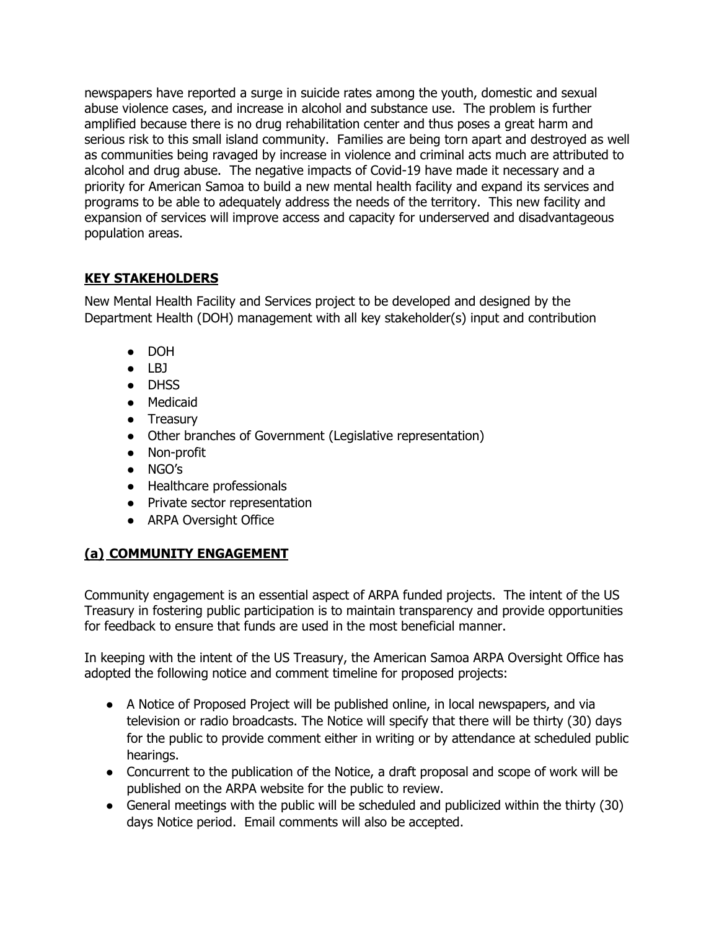newspapers have reported a surge in suicide rates among the youth, domestic and sexual abuse violence cases, and increase in alcohol and substance use. The problem is further amplified because there is no drug rehabilitation center and thus poses a great harm and serious risk to this small island community. Families are being torn apart and destroyed as well as communities being ravaged by increase in violence and criminal acts much are attributed to alcohol and drug abuse. The negative impacts of Covid-19 have made it necessary and a priority for American Samoa to build a new mental health facility and expand its services and programs to be able to adequately address the needs of the territory. This new facility and expansion of services will improve access and capacity for underserved and disadvantageous population areas.

## **KEY STAKEHOLDERS**

New Mental Health Facility and Services project to be developed and designed by the Department Health (DOH) management with all key stakeholder(s) input and contribution

- DOH
- LBJ
- DHSS
- Medicaid
- Treasury
- Other branches of Government (Legislative representation)
- Non-profit
- NGO's
- Healthcare professionals
- Private sector representation
- ARPA Oversight Office

# **(a) COMMUNITY ENGAGEMENT**

Community engagement is an essential aspect of ARPA funded projects. The intent of the US Treasury in fostering public participation is to maintain transparency and provide opportunities for feedback to ensure that funds are used in the most beneficial manner.

In keeping with the intent of the US Treasury, the American Samoa ARPA Oversight Office has adopted the following notice and comment timeline for proposed projects:

- A Notice of Proposed Project will be published online, in local newspapers, and via television or radio broadcasts. The Notice will specify that there will be thirty (30) days for the public to provide comment either in writing or by attendance at scheduled public hearings.
- Concurrent to the publication of the Notice, a draft proposal and scope of work will be published on the ARPA website for the public to review.
- General meetings with the public will be scheduled and publicized within the thirty (30) days Notice period. Email comments will also be accepted.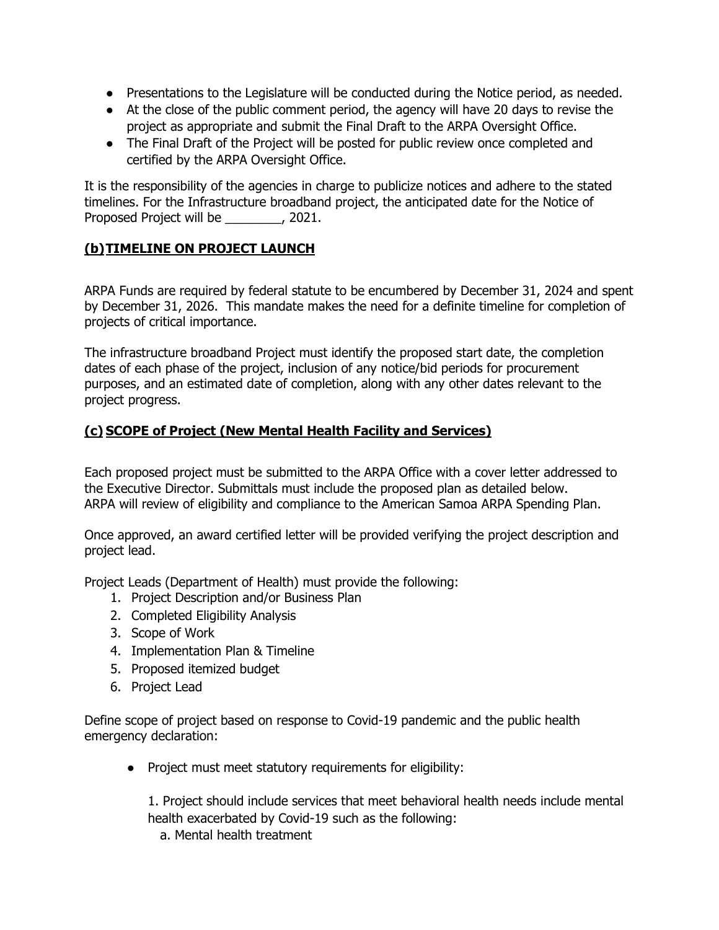- Presentations to the Legislature will be conducted during the Notice period, as needed.
- At the close of the public comment period, the agency will have 20 days to revise the project as appropriate and submit the Final Draft to the ARPA Oversight Office.
- The Final Draft of the Project will be posted for public review once completed and certified by the ARPA Oversight Office.

It is the responsibility of the agencies in charge to publicize notices and adhere to the stated timelines. For the Infrastructure broadband project, the anticipated date for the Notice of Proposed Project will be \_\_\_\_\_\_\_\_, 2021.

## **(b)TIMELINE ON PROJECT LAUNCH**

ARPA Funds are required by federal statute to be encumbered by December 31, 2024 and spent by December 31, 2026. This mandate makes the need for a definite timeline for completion of projects of critical importance.

The infrastructure broadband Project must identify the proposed start date, the completion dates of each phase of the project, inclusion of any notice/bid periods for procurement purposes, and an estimated date of completion, along with any other dates relevant to the project progress.

## **(c) SCOPE of Project (New Mental Health Facility and Services)**

Each proposed project must be submitted to the ARPA Office with a cover letter addressed to the Executive Director. Submittals must include the proposed plan as detailed below. ARPA will review of eligibility and compliance to the American Samoa ARPA Spending Plan.

Once approved, an award certified letter will be provided verifying the project description and project lead.

Project Leads (Department of Health) must provide the following:

- 1. Project Description and/or Business Plan
- 2. Completed Eligibility Analysis
- 3. Scope of Work
- 4. Implementation Plan & Timeline
- 5. Proposed itemized budget
- 6. Project Lead

Define scope of project based on response to Covid-19 pandemic and the public health emergency declaration:

● Project must meet statutory requirements for eligibility:

1. Project should include services that meet behavioral health needs include mental health exacerbated by Covid-19 such as the following:

a. Mental health treatment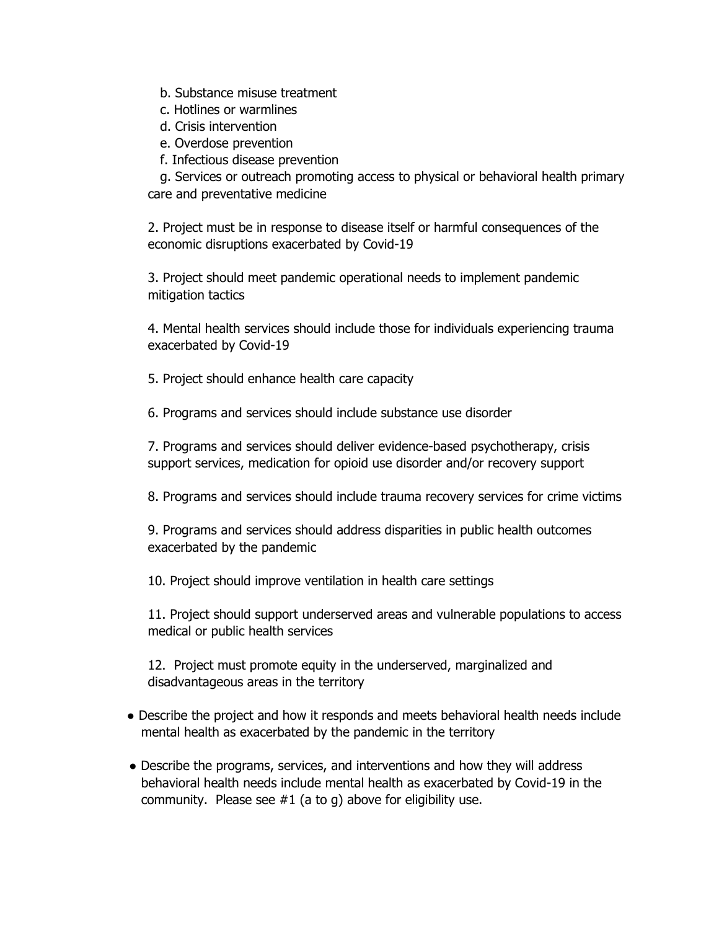- b. Substance misuse treatment
- c. Hotlines or warmlines
- d. Crisis intervention
- e. Overdose prevention
- f. Infectious disease prevention

 g. Services or outreach promoting access to physical or behavioral health primary care and preventative medicine

2. Project must be in response to disease itself or harmful consequences of the economic disruptions exacerbated by Covid-19

3. Project should meet pandemic operational needs to implement pandemic mitigation tactics

4. Mental health services should include those for individuals experiencing trauma exacerbated by Covid-19

5. Project should enhance health care capacity

6. Programs and services should include substance use disorder

7. Programs and services should deliver evidence-based psychotherapy, crisis support services, medication for opioid use disorder and/or recovery support

8. Programs and services should include trauma recovery services for crime victims

9. Programs and services should address disparities in public health outcomes exacerbated by the pandemic

10. Project should improve ventilation in health care settings

11. Project should support underserved areas and vulnerable populations to access medical or public health services

12. Project must promote equity in the underserved, marginalized and disadvantageous areas in the territory

- Describe the project and how it responds and meets behavioral health needs include mental health as exacerbated by the pandemic in the territory
- Describe the programs, services, and interventions and how they will address behavioral health needs include mental health as exacerbated by Covid-19 in the community. Please see  $#1$  (a to g) above for eligibility use.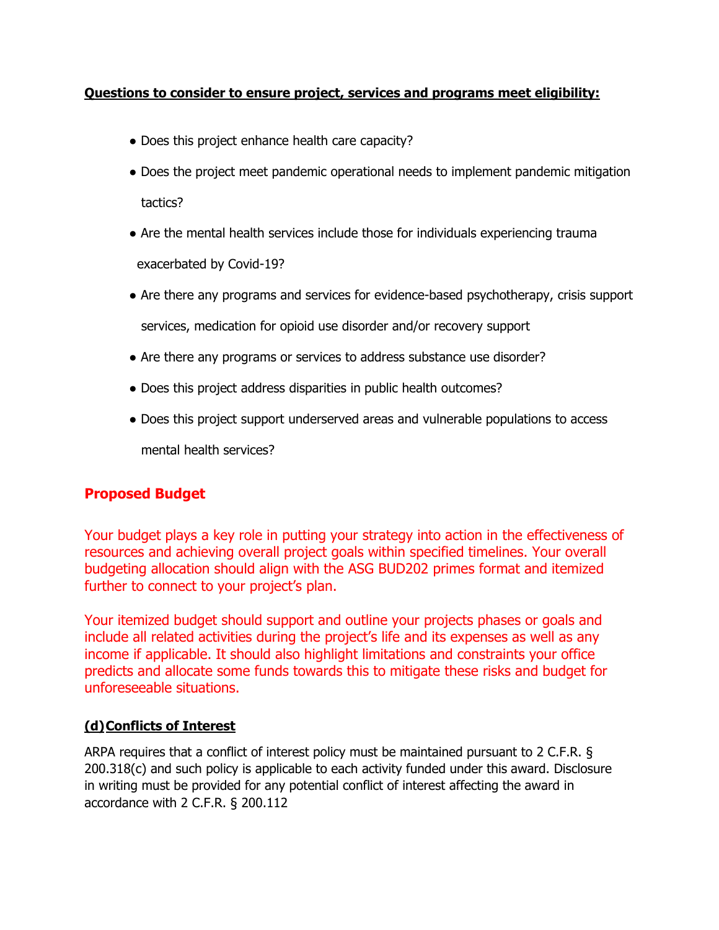### **Questions to consider to ensure project, services and programs meet eligibility:**

- Does this project enhance health care capacity?
- Does the project meet pandemic operational needs to implement pandemic mitigation tactics?
- Are the mental health services include those for individuals experiencing trauma exacerbated by Covid-19?
- Are there any programs and services for evidence-based psychotherapy, crisis support services, medication for opioid use disorder and/or recovery support
- Are there any programs or services to address substance use disorder?
- Does this project address disparities in public health outcomes?
- Does this project support underserved areas and vulnerable populations to access

mental health services?

## **Proposed Budget**

Your budget plays a key role in putting your strategy into action in the effectiveness of resources and achieving overall project goals within specified timelines. Your overall budgeting allocation should align with the ASG BUD202 primes format and itemized further to connect to your project's plan.

Your itemized budget should support and outline your projects phases or goals and include all related activities during the project's life and its expenses as well as any income if applicable. It should also highlight limitations and constraints your office predicts and allocate some funds towards this to mitigate these risks and budget for unforeseeable situations.

### **(d)Conflicts of Interest**

ARPA requires that a conflict of interest policy must be maintained pursuant to 2 C.F.R. § 200.318(c) and such policy is applicable to each activity funded under this award. Disclosure in writing must be provided for any potential conflict of interest affecting the award in accordance with 2 C.F.R. § 200.112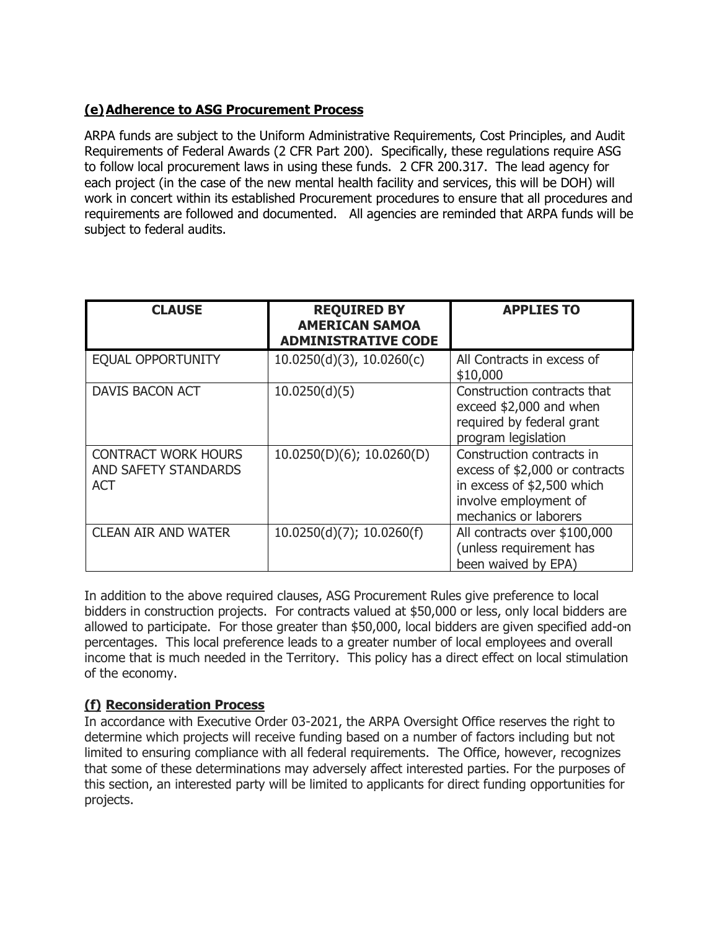## **(e)Adherence to ASG Procurement Process**

ARPA funds are subject to the Uniform Administrative Requirements, Cost Principles, and Audit Requirements of Federal Awards (2 CFR Part 200). Specifically, these regulations require ASG to follow local procurement laws in using these funds. 2 CFR 200.317. The lead agency for each project (in the case of the new mental health facility and services, this will be DOH) will work in concert within its established Procurement procedures to ensure that all procedures and requirements are followed and documented. All agencies are reminded that ARPA funds will be subject to federal audits.

| <b>CLAUSE</b>                                             | <b>REQUIRED BY</b><br><b>AMERICAN SAMOA</b><br><b>ADMINISTRATIVE CODE</b> | <b>APPLIES TO</b>                                                                                                                           |
|-----------------------------------------------------------|---------------------------------------------------------------------------|---------------------------------------------------------------------------------------------------------------------------------------------|
| <b>EQUAL OPPORTUNITY</b>                                  | $10.0250(d)(3)$ , $10.0260(c)$                                            | All Contracts in excess of<br>\$10,000                                                                                                      |
| <b>DAVIS BACON ACT</b>                                    | 10.0250(d)(5)                                                             | Construction contracts that<br>exceed \$2,000 and when<br>required by federal grant<br>program legislation                                  |
| <b>CONTRACT WORK HOURS</b><br>AND SAFETY STANDARDS<br>ACT | $10.0250(D)(6)$ ; 10.0260(D)                                              | Construction contracts in<br>excess of \$2,000 or contracts<br>in excess of \$2,500 which<br>involve employment of<br>mechanics or laborers |
| <b>CLEAN AIR AND WATER</b>                                | $10.0250(d)(7)$ ; 10.0260(f)                                              | All contracts over \$100,000<br>(unless requirement has<br>been waived by EPA)                                                              |

In addition to the above required clauses, ASG Procurement Rules give preference to local bidders in construction projects. For contracts valued at \$50,000 or less, only local bidders are allowed to participate. For those greater than \$50,000, local bidders are given specified add-on percentages. This local preference leads to a greater number of local employees and overall income that is much needed in the Territory. This policy has a direct effect on local stimulation of the economy.

### **(f) Reconsideration Process**

In accordance with Executive Order 03-2021, the ARPA Oversight Office reserves the right to determine which projects will receive funding based on a number of factors including but not limited to ensuring compliance with all federal requirements. The Office, however, recognizes that some of these determinations may adversely affect interested parties. For the purposes of this section, an interested party will be limited to applicants for direct funding opportunities for projects.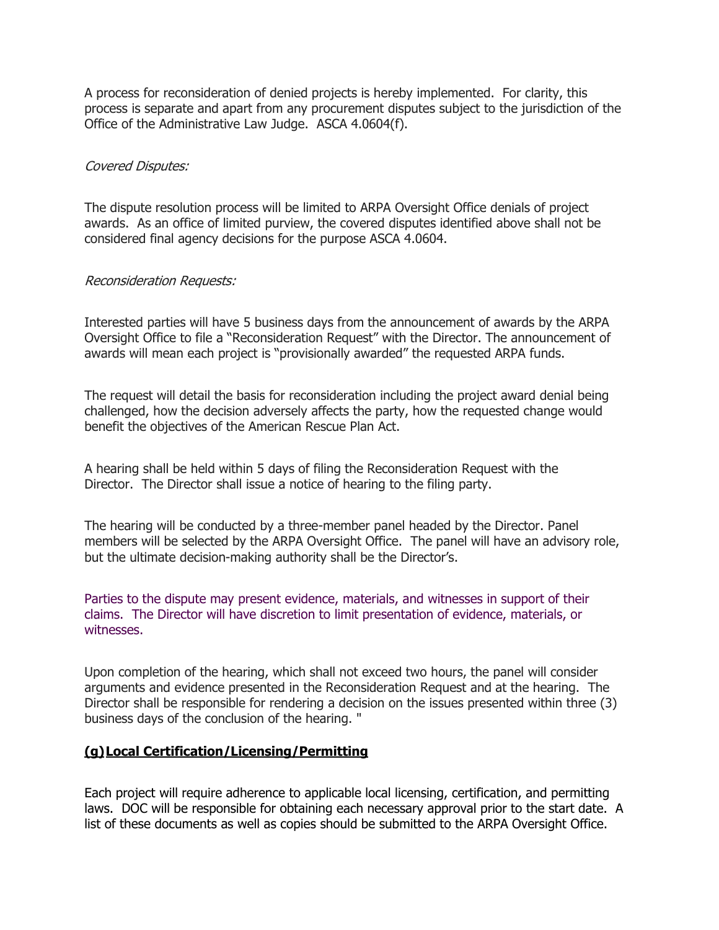A process for reconsideration of denied projects is hereby implemented. For clarity, this process is separate and apart from any procurement disputes subject to the jurisdiction of the Office of the Administrative Law Judge. ASCA 4.0604(f).

#### Covered Disputes:

The dispute resolution process will be limited to ARPA Oversight Office denials of project awards. As an office of limited purview, the covered disputes identified above shall not be considered final agency decisions for the purpose ASCA 4.0604.

#### Reconsideration Requests:

Interested parties will have 5 business days from the announcement of awards by the ARPA Oversight Office to file a "Reconsideration Request" with the Director. The announcement of awards will mean each project is "provisionally awarded" the requested ARPA funds.

The request will detail the basis for reconsideration including the project award denial being challenged, how the decision adversely affects the party, how the requested change would benefit the objectives of the American Rescue Plan Act.

A hearing shall be held within 5 days of filing the Reconsideration Request with the Director. The Director shall issue a notice of hearing to the filing party.

The hearing will be conducted by a three-member panel headed by the Director. Panel members will be selected by the ARPA Oversight Office. The panel will have an advisory role, but the ultimate decision-making authority shall be the Director's.

Parties to the dispute may present evidence, materials, and witnesses in support of their claims. The Director will have discretion to limit presentation of evidence, materials, or witnesses.

Upon completion of the hearing, which shall not exceed two hours, the panel will consider arguments and evidence presented in the Reconsideration Request and at the hearing. The Director shall be responsible for rendering a decision on the issues presented within three (3) business days of the conclusion of the hearing. "

#### **(g)Local Certification/Licensing/Permitting**

Each project will require adherence to applicable local licensing, certification, and permitting laws. DOC will be responsible for obtaining each necessary approval prior to the start date. A list of these documents as well as copies should be submitted to the ARPA Oversight Office.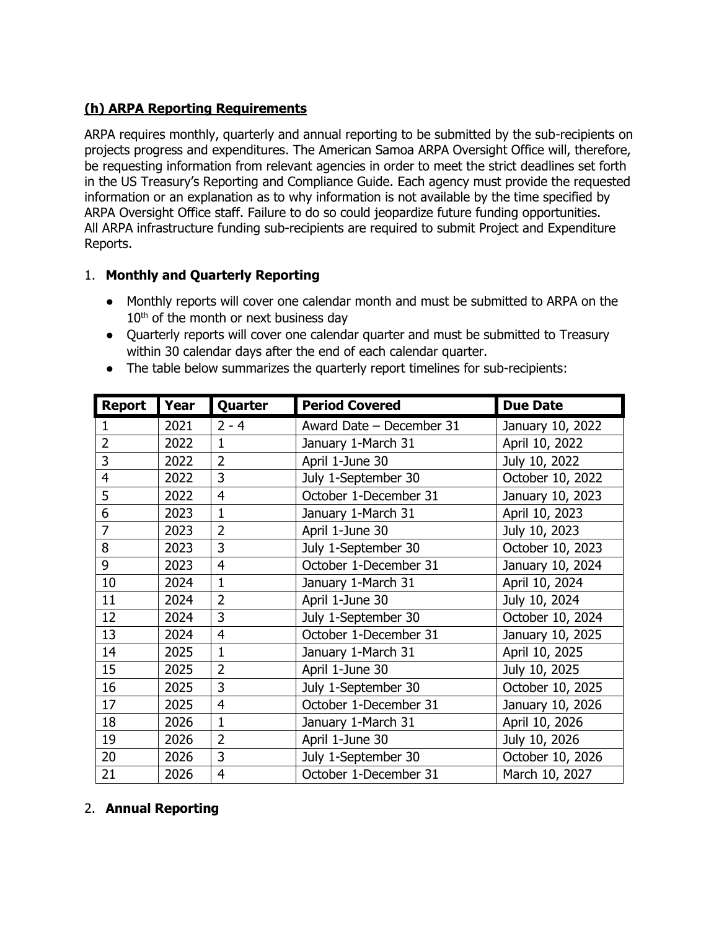## **(h) ARPA Reporting Requirements**

ARPA requires monthly, quarterly and annual reporting to be submitted by the sub-recipients on projects progress and expenditures. The American Samoa ARPA Oversight Office will, therefore, be requesting information from relevant agencies in order to meet the strict deadlines set forth in the US Treasury's Reporting and Compliance Guide. Each agency must provide the requested information or an explanation as to why information is not available by the time specified by ARPA Oversight Office staff. Failure to do so could jeopardize future funding opportunities. All ARPA infrastructure funding sub-recipients are required to submit Project and Expenditure Reports.

### 1. **Monthly and Quarterly Reporting**

- Monthly reports will cover one calendar month and must be submitted to ARPA on the  $10<sup>th</sup>$  of the month or next business day
- Quarterly reports will cover one calendar quarter and must be submitted to Treasury within 30 calendar days after the end of each calendar quarter.
- The table below summarizes the quarterly report timelines for sub-recipients:

| <b>Report</b>  | Year | Quarter        | <b>Period Covered</b>    | <b>Due Date</b>  |
|----------------|------|----------------|--------------------------|------------------|
| 1              | 2021 | $2 - 4$        | Award Date - December 31 | January 10, 2022 |
| $\overline{2}$ | 2022 | $\mathbf{1}$   | January 1-March 31       | April 10, 2022   |
| 3              | 2022 | $\overline{2}$ | April 1-June 30          | July 10, 2022    |
| 4              | 2022 | 3              | July 1-September 30      | October 10, 2022 |
| 5              | 2022 | $\overline{4}$ | October 1-December 31    | January 10, 2023 |
| 6              | 2023 | $\mathbf{1}$   | January 1-March 31       | April 10, 2023   |
| $\overline{7}$ | 2023 | $\overline{2}$ | April 1-June 30          | July 10, 2023    |
| 8              | 2023 | 3              | July 1-September 30      | October 10, 2023 |
| 9              | 2023 | $\overline{4}$ | October 1-December 31    | January 10, 2024 |
| 10             | 2024 | $\mathbf{1}$   | January 1-March 31       | April 10, 2024   |
| 11             | 2024 | $\overline{2}$ | April 1-June 30          | July 10, 2024    |
| 12             | 2024 | 3              | July 1-September 30      | October 10, 2024 |
| 13             | 2024 | $\overline{4}$ | October 1-December 31    | January 10, 2025 |
| 14             | 2025 | $\mathbf{1}$   | January 1-March 31       | April 10, 2025   |
| 15             | 2025 | $\overline{2}$ | April 1-June 30          | July 10, 2025    |
| 16             | 2025 | 3              | July 1-September 30      | October 10, 2025 |
| 17             | 2025 | $\overline{4}$ | October 1-December 31    | January 10, 2026 |
| 18             | 2026 | $\mathbf{1}$   | January 1-March 31       | April 10, 2026   |
| 19             | 2026 | $\overline{2}$ | April 1-June 30          | July 10, 2026    |
| 20             | 2026 | 3              | July 1-September 30      | October 10, 2026 |
| 21             | 2026 | $\overline{4}$ | October 1-December 31    | March 10, 2027   |

### 2. **Annual Reporting**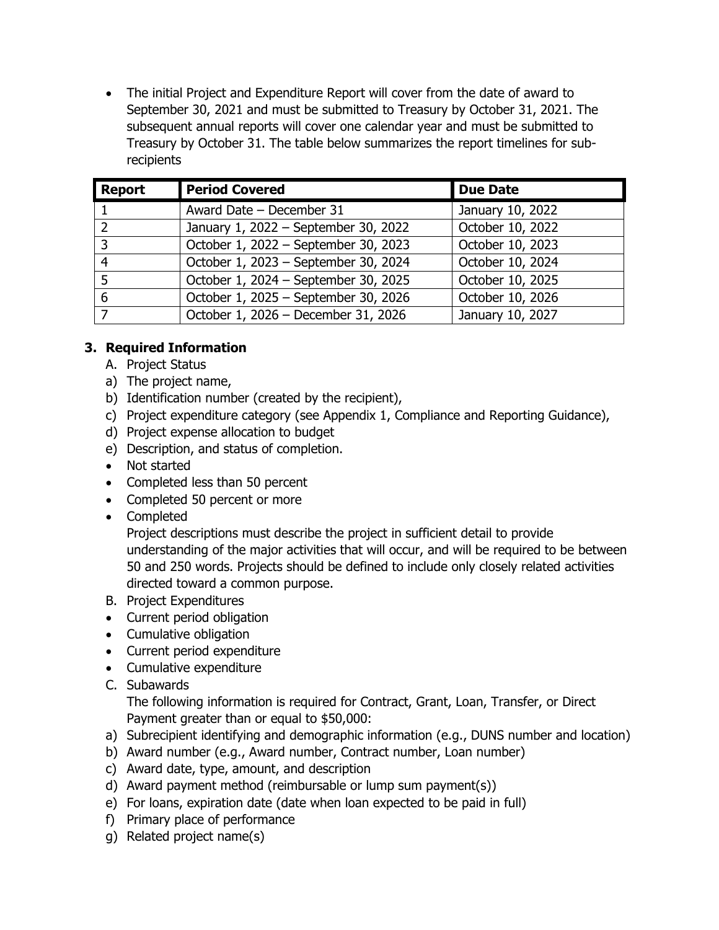• The initial Project and Expenditure Report will cover from the date of award to September 30, 2021 and must be submitted to Treasury by October 31, 2021. The subsequent annual reports will cover one calendar year and must be submitted to Treasury by October 31. The table below summarizes the report timelines for subrecipients

| <b>Report</b> | <b>Period Covered</b>                | <b>Due Date</b>  |
|---------------|--------------------------------------|------------------|
|               | Award Date - December 31             | January 10, 2022 |
| $\mathcal{D}$ | January 1, 2022 - September 30, 2022 | October 10, 2022 |
| 3             | October 1, 2022 - September 30, 2023 | October 10, 2023 |
| 4             | October 1, 2023 - September 30, 2024 | October 10, 2024 |
| 5             | October 1, 2024 - September 30, 2025 | October 10, 2025 |
| 6             | October 1, 2025 - September 30, 2026 | October 10, 2026 |
|               | October 1, 2026 - December 31, 2026  | January 10, 2027 |

## **3. Required Information**

- A. Project Status
- a) The project name,
- b) Identification number (created by the recipient),
- c) Project expenditure category (see Appendix 1, Compliance and Reporting Guidance),
- d) Project expense allocation to budget
- e) Description, and status of completion.
- Not started
- Completed less than 50 percent
- Completed 50 percent or more
- Completed

Project descriptions must describe the project in sufficient detail to provide understanding of the major activities that will occur, and will be required to be between 50 and 250 words. Projects should be defined to include only closely related activities directed toward a common purpose.

- B. Project Expenditures
- Current period obligation
- Cumulative obligation
- Current period expenditure
- Cumulative expenditure
- C. Subawards

The following information is required for Contract, Grant, Loan, Transfer, or Direct Payment greater than or equal to \$50,000:

- a) Subrecipient identifying and demographic information (e.g., DUNS number and location)
- b) Award number (e.g., Award number, Contract number, Loan number)
- c) Award date, type, amount, and description
- d) Award payment method (reimbursable or lump sum payment(s))
- e) For loans, expiration date (date when loan expected to be paid in full)
- f) Primary place of performance
- g) Related project name(s)